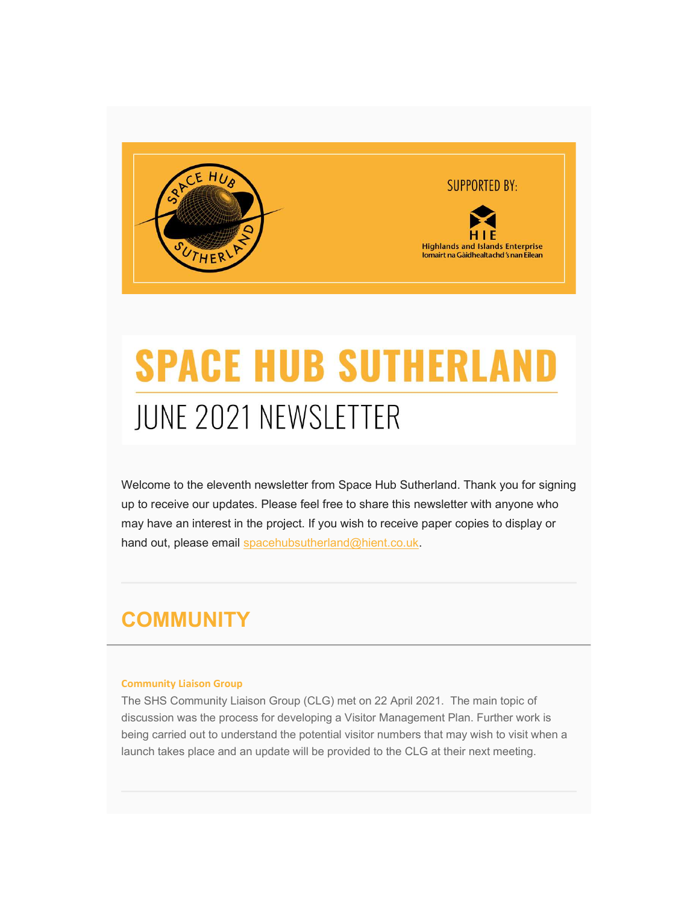

# **SPACE HUB SUTHERLAI JUNE 2021 NEWSLETTER**

Welcome to the eleventh newsletter from Space Hub Sutherland. Thank you for signing up to receive our updates. Please feel free to share this newsletter with anyone who may have an interest in the project. If you wish to receive paper copies to display or hand out, please email spacehubsutherland@hient.co.uk.

### **COMMUNITY**

#### Community Liaison Group

The SHS Community Liaison Group (CLG) met on 22 April 2021. The main topic of discussion was the process for developing a Visitor Management Plan. Further work is being carried out to understand the potential visitor numbers that may wish to visit when a launch takes place and an update will be provided to the CLG at their next meeting.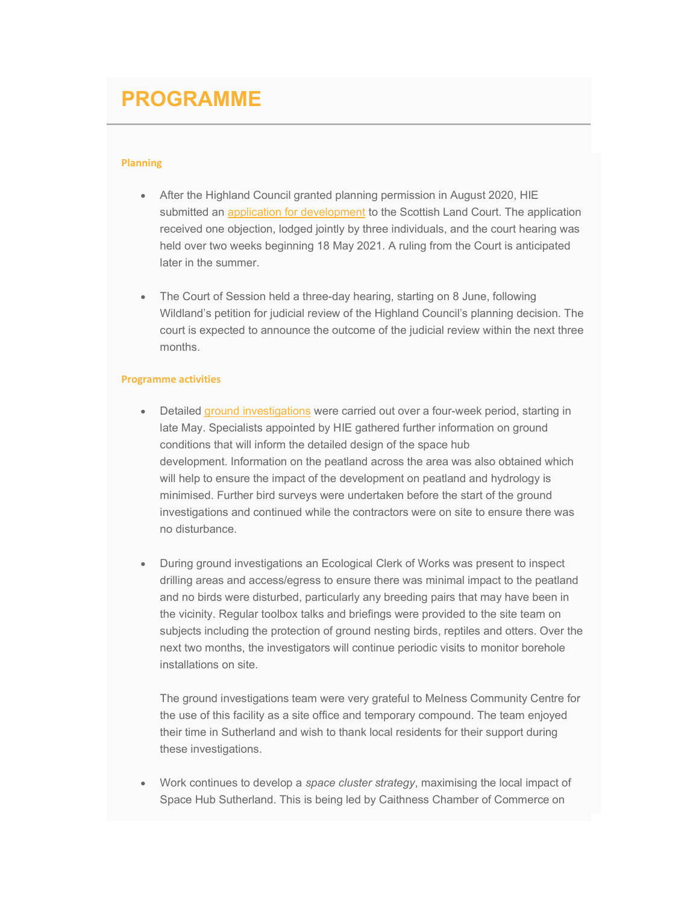### PROGRAMME

#### Planning

- After the Highland Council granted planning permission in August 2020, HIE submitted an application for development to the Scottish Land Court. The application received one objection, lodged jointly by three individuals, and the court hearing was held over two weeks beginning 18 May 2021. A ruling from the Court is anticipated later in the summer.
- The Court of Session held a three-day hearing, starting on 8 June, following Wildland's petition for judicial review of the Highland Council's planning decision. The court is expected to announce the outcome of the judicial review within the next three months.

#### Programme activities

- Detailed ground investigations were carried out over a four-week period, starting in late May. Specialists appointed by HIE gathered further information on ground conditions that will inform the detailed design of the space hub development. Information on the peatland across the area was also obtained which will help to ensure the impact of the development on peatland and hydrology is minimised. Further bird surveys were undertaken before the start of the ground investigations and continued while the contractors were on site to ensure there was no disturbance.
- During ground investigations an Ecological Clerk of Works was present to inspect drilling areas and access/egress to ensure there was minimal impact to the peatland and no birds were disturbed, particularly any breeding pairs that may have been in the vicinity. Regular toolbox talks and briefings were provided to the site team on subjects including the protection of ground nesting birds, reptiles and otters. Over the next two months, the investigators will continue periodic visits to monitor borehole installations on site.

The ground investigations team were very grateful to Melness Community Centre for the use of this facility as a site office and temporary compound. The team enjoyed their time in Sutherland and wish to thank local residents for their support during these investigations.

• Work continues to develop a space cluster strategy, maximising the local impact of Space Hub Sutherland. This is being led by Caithness Chamber of Commerce on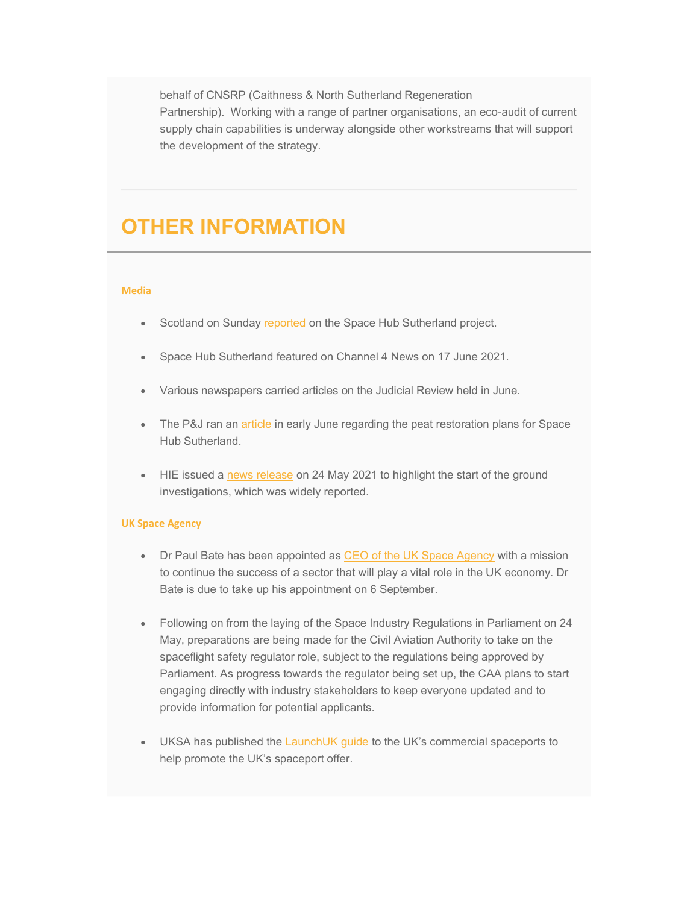behalf of CNSRP (Caithness & North Sutherland Regeneration Partnership). Working with a range of partner organisations, an eco-audit of current supply chain capabilities is underway alongside other workstreams that will support the development of the strategy.

### OTHER INFORMATION

#### Media

- Scotland on Sunday reported on the Space Hub Sutherland project.
- Space Hub Sutherland featured on Channel 4 News on 17 June 2021.
- Various newspapers carried articles on the Judicial Review held in June.
- The P&J ran an article in early June regarding the peat restoration plans for Space Hub Sutherland.
- HIE issued a news release on 24 May 2021 to highlight the start of the ground investigations, which was widely reported.

#### UK Space Agency

- Dr Paul Bate has been appointed as CEO of the UK Space Agency with a mission to continue the success of a sector that will play a vital role in the UK economy. Dr Bate is due to take up his appointment on 6 September.
- Following on from the laying of the Space Industry Regulations in Parliament on 24 May, preparations are being made for the Civil Aviation Authority to take on the spaceflight safety regulator role, subject to the regulations being approved by Parliament. As progress towards the regulator being set up, the CAA plans to start engaging directly with industry stakeholders to keep everyone updated and to provide information for potential applicants.
- UKSA has published the LaunchUK guide to the UK's commercial spaceports to help promote the UK's spaceport offer.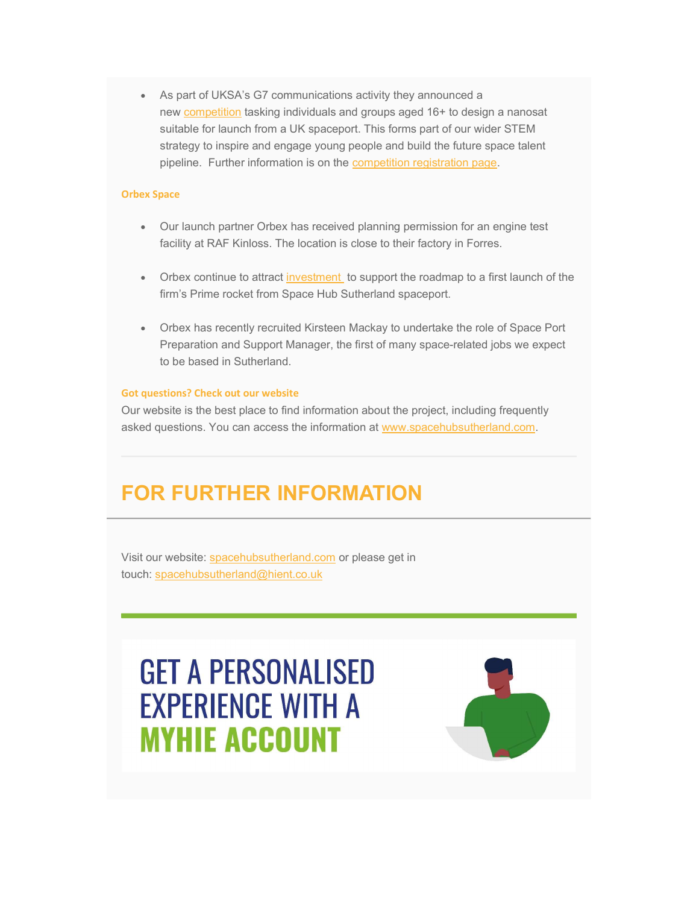As part of UKSA's G7 communications activity they announced a new competition tasking individuals and groups aged 16+ to design a nanosat suitable for launch from a UK spaceport. This forms part of our wider STEM strategy to inspire and engage young people and build the future space talent pipeline. Further information is on the competition registration page.

#### Orbex Space

- Our launch partner Orbex has received planning permission for an engine test facility at RAF Kinloss. The location is close to their factory in Forres.
- Orbex continue to attract investment to support the roadmap to a first launch of the firm's Prime rocket from Space Hub Sutherland spaceport.
- Orbex has recently recruited Kirsteen Mackay to undertake the role of Space Port Preparation and Support Manager, the first of many space-related jobs we expect to be based in Sutherland.

#### Got questions? Check out our website

Our website is the best place to find information about the project, including frequently asked questions. You can access the information at www.spacehubsutherland.com.

### FOR FURTHER INFORMATION

Visit our website: spacehubsutherland.com or please get in touch: spacehubsutherland@hient.co.uk

## **GET A PERSONALISED EXPERIENCE WITH A MYHIE ACCOUNT**